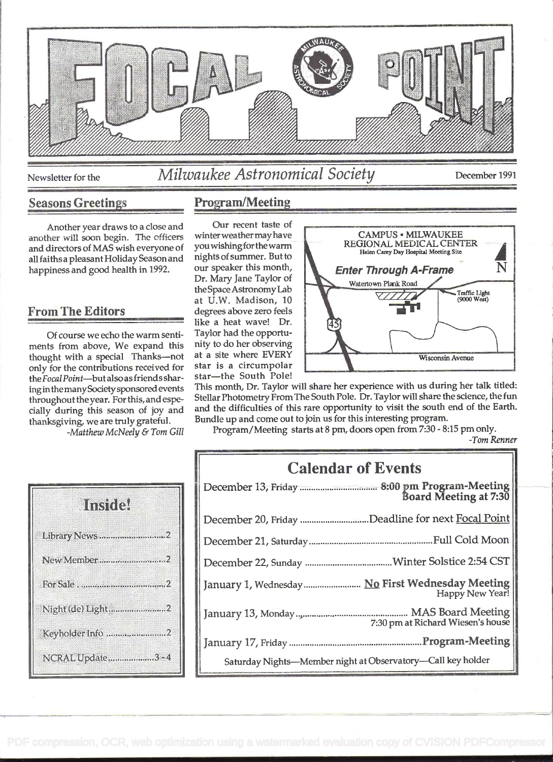

# Newsletter for the Milwaukee Astronomical Society December 1991

## Seasons Greetings Program/Meeting

Another year draws to a close and leavel that the contract value of the person has been as winter weather may have another will soon begin. The officers winter weather may have<br>and directors of MAS wish everyone of you wishing for the warm and directors of MAS wish everyone of all faiths a pleasant Holiday Season and nights of summer. But to<br>happiness and good bealth in 1992 our speaker this month, happiness and good health in 1992.

## From The Editors

Of course we echo the warm sentiments from above, We expand this nity to do her observing<br>thought with a special Thanks—not at a site where EVERY thought with a special Thanks—not at a site where EVERY<br>only for the contributions received for star is a circumpolar only for the contributions received for star is a circumpolar<br>the Focal Point—butalso as friends shar—star—the South Pole! the Focal Point-but also as friends sharinginthemanySocietysponsored events throughout theyear. For this, and especially during this season of joy and thanksgiving, we are truly grateful.

-Matthew McNeely & Tom Gill



Our recent taste of at U.W. Madison, 10 degrees above zero feels like a heat wave! Dr. Taylor had the opportunity to do her observing



This month, Dr. Taylor will share her experience with us during her talk titled: Stellar Photometry From The South Pole. Dr. Taylor will share the science, the fun and the difficulties of this rare opportunity to visit the south end of the Earth. Bundle up and come out to join us for this interesting program.

Program/Meeting starts at 8 pm, doors open from 7:30 - 8:15 pm only.

-Tom Renner

| <b>Calendar of Events</b> |                                                                     |  |
|---------------------------|---------------------------------------------------------------------|--|
|                           |                                                                     |  |
|                           | December 20, Friday Deadline for next Focal Point                   |  |
|                           |                                                                     |  |
|                           |                                                                     |  |
|                           | January 1, Wednesday  No First Wednesday Meeting<br>Happy New Year! |  |
|                           | 7:30 pm at Richard Wiesen's house                                   |  |
|                           |                                                                     |  |
|                           | Saturday Nights-Member night at Observatory-Call key holder         |  |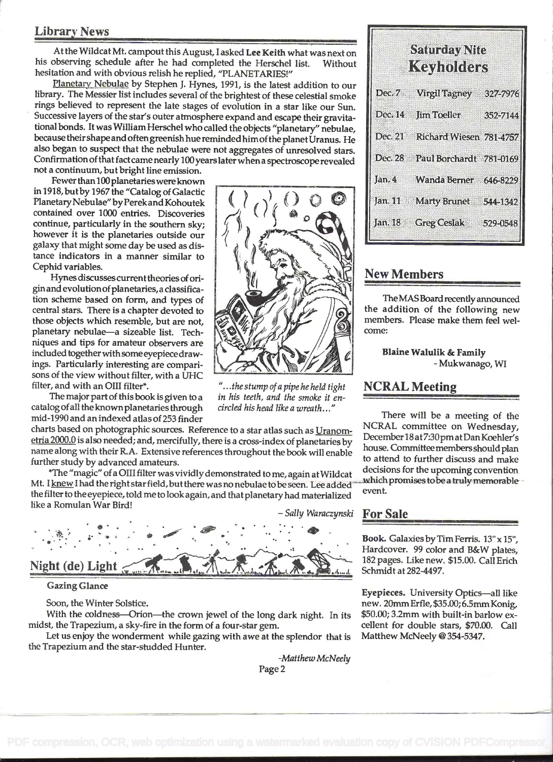### Library News

At the Wildcat Mt. campout this August, I asked Lee Keith what was next on his observing schedule after he had completed the Herschel list. Without hesitation and with obvious relish he replied, 'PLANETARIES!"

Planetary Nebulae by Stephen J. Hynes, 1991, is the latest addition to our library. The Messier list includes several of the brightest of these celestial smoke rings believed to represent the late stages of evolution in a star like our Sun.<br>Successive layers of the star's outer atmosphere expand and escape their gravitational bonds. It was William Herschel who called the objects "planetary" nebulae, because theirshapeand oftengreenish hue reminded himofthe planetUranus. He also began to suspect that the nebulae were not aggregates of unresolved stars. Confirmation of that fact came nearly 100 years later when a spectroscope revealed

not a continuum, but bright line emission.

Fewer than 100 planetaries were known in 1918, but by 1967 the "Catalog of Galactic Planetary Nebulae" by Perek and Kohoutek contained over 1000 entries. Discoveries continue, particularly in the southern sky; however it is the planetaries outside our galaxy that might some day be used as distance indicators in a manner similar to Cephid variables.

tion scheme based on form, and types of Hynes discussescurrent theories of origin and evolution of planetaries, a classificaincluded together withsome eyepiece drawcentral stars. There is a chapter devoted to niques and tips for amateur observers are those objects which resemble, but are not, planetary nebulae-a sizeable list. Techings. Particularly interesting are comparisons of the view without filter, with a UHC filter, and with an OIII filter\*.

The major part of this book is given to a in his teeth, and the smoke it  $\epsilon$  is equal the known planetaries through circled his head like a wreath..." catalog of all the known planetaries through mid-1990 and an indexed atlas of 253 finder

charts based on photographic sources. Reference to a star atlas such as Uranometria 2000.0 is also needed; and, mercifully, there is a cross-index of planetaries by name along with their R.A. Extensive references throughout the book will enable further study by advanced amateurs.

\*The "magic" of a 0111 filter was vividly demonstrated to me, again at Wildcat Mt. I knew I had the right star field, but there was no nebulae to be seen. Lee added the filter to the eyepiece, told me to look again, and that planetary had materialized the filter to the cycloset, told the to loo!<br>like a Romulan War Bird!

 $| 0 0 0 |$ 



### Gazing Glance

Soon, the Winter Solstice.

With the coldness-Orion-the crown jewel of the long dark night. In its midst, the Trapezium, a sky-fire in the form of a four-star gem.

Let us enjoy the wonderment while gazing with awe at the splendor that is the Trapezium and the star-studded Hunter.

-Matthew McNeely

| Szundevoltte<br>Keyholders |                                 |           |  |  |
|----------------------------|---------------------------------|-----------|--|--|
| Dec. 7                     | <b>Mighterney</b>               | 327-7976  |  |  |
|                            | Dec. 14 Jim Toeller             | 352-7144  |  |  |
|                            | Dec. 21 Richard Wiesen 781-4757 |           |  |  |
| Dec. 28                    | <b>Paul Borchardt</b>           | 781-0169  |  |  |
| Jan. 4                     | Wanda Berner                    | 646-8229  |  |  |
| <b>Janseft</b>             | <b>Marty Brunet</b>             | 5445(342) |  |  |
|                            | Jan. 18 Greg Ceslak 529-0548    |           |  |  |

### New Members

TheMASBoard recently announced the addition of the following new members. Please make them feel welcome:

> Blaine Walulik & Family - Mukwanago, WI

### NCRAL Meeting

There will be a meeting of the NCRAL committee on Wednesday, December 18 at7:30pmatDan Koehier's house. Committeemembers should plan to attend to further discuss and make decisions for the upcoming convention which promises to be a truly memorable event.

Book. Galaxies by Tim Ferris.  $13" \times 15"$ , Hardcover. 99 color and B&W plates, 182 pages. Like new. \$15.00. Call Erich Schmidt at 282-4497.

Eyepieces. University Optics-all like new. 20mm Erfie, \$35.00; 6.5mm Konig, \$50.00; 3.2mm with built-in barlow excellent for double stars, \$70.00. Call Matthew McNeely @ 354-5347.

"... the stump of a pipe he held tight<br>in his teeth, and the smoke it en-

 $\frac{1}{2}$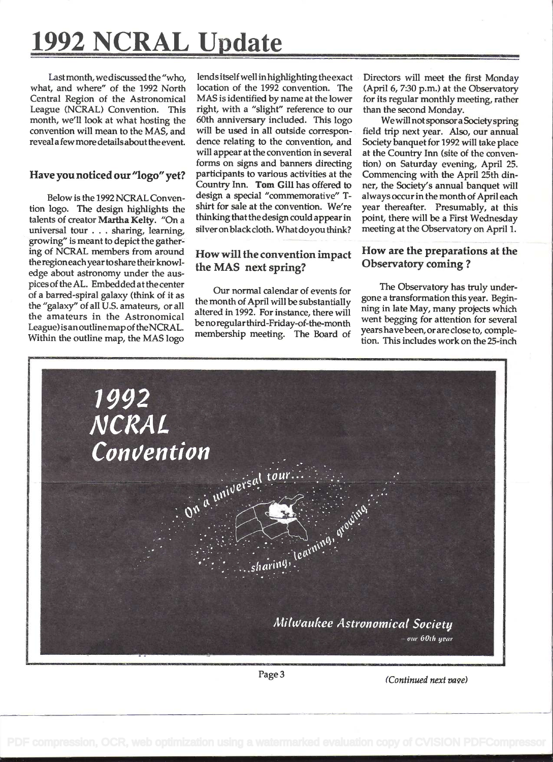# 1992 NCRAL Update

Last month, we discussed the "who, what, and where" of the 1992 North Central Region of the Astronomical League (NCRAL) Convention. This month, we'll look at what hosting the convention will mean to the MAS, and reveal afewmoredetailsaboutthe event.

### Have you noticed our "logo" yet?

Below is the 1992 NCRAL Convention logo. The design highlights the talents of creator Martha Kelty. "On a universal tour . . . sharing, learning, growing" is meant to depict the gathering of NCRAL members from around the regioneachyeartoshare their knowledge about astronomy under the auspices of the AL. Embedded at the center of a barred-spiral galaxy (think of it as the "galaxy" of all U.S. amateurs, or all the amateurs in the Astronomical League) isanoutlinemap of the NCRAL. Within the outline map, the MAS logo

lendsitselfwell inhighlighting the exact location of the 1992 convention. The MAS is identified by name at the lower right, with a "slight" reference to our 60th anniversary included. This logo will be used in all outside correspondence relating to the convention, and will appear at the convention in several forms on signs and banners directing participants to various activities at the Country Inn. Tom Gill has offered to design a special "commemorative" Tshirt for sale at the convention. We're thinking that the design could appear in silver on black cloth. What do you think?

### How will the convention impact the MAS next spring?

Our normal calendar of events for the month of April will be substantially altered in 1992. For instance, there will be noregular third-Friday-of-the-month membership meeting. The Board of Directors will meet the first Monday (April 6, 7:30 p.m.) at the Observatory for its regular monthly meeting, rather than the second Monday.

We will not sponsor a Society spring field trip next year. Also, our annual Society banquet for 1992 will take place at the Country Inn (site of the convention) on Saturday evening, April 25. Commencing with the April 25th dinner, the Society's annual banquet will always occur in the month of April each year thereafter. Presumably, at this point, there will be a First Wednesday meeting at the Observatory on April 1.

### How are the preparations at the Observatory coming?

The Observatory has truly undergone a transformation this year. Beginning in late May, many projects which went begging for attention for several yearshavebeen, or are close to, compielion. This includes work on the 25-inch